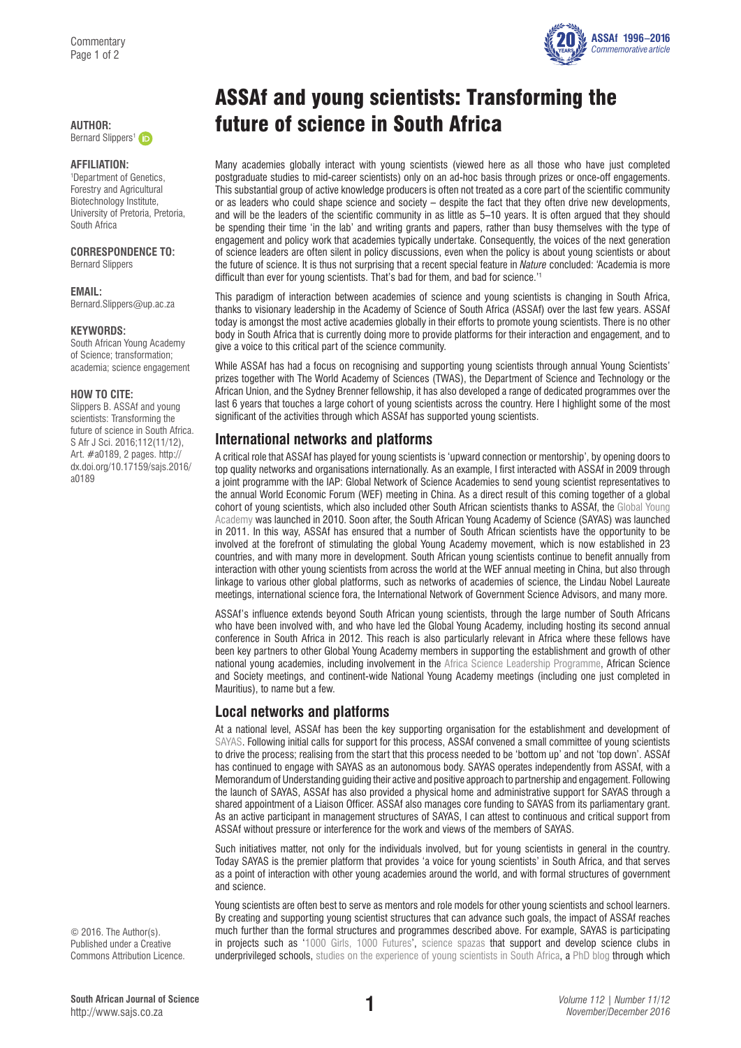## Bernard Slippers<sup>[1](http://orcid.org/0000-0003-1491-3858)</sup> (iD

### **AFFILIATION:**

1 Department of Genetics, Forestry and Agricultural Biotechnology Institute, University of Pretoria, Pretoria, South Africa

#### **CORRESPONDENCE TO:**  Bernard Slippers

### **EMAIL:**

[Bernard.Slippers@up.ac.za](mailto:Bernard.Slippers@up.ac.za)

### **KEYWORDS:**

South African Young Academy of Science; transformation; academia; science engagement

### **HOW TO CITE:**

Slippers B. ASSAf and young scientists: Transforming the future of science in South Africa. S Afr J Sci. 2016;112(11/12), Art. #a0189, 2 pages. [http://](http://dx.doi.org/10.17159/sajs.2016/a0189) [dx.doi.org/10.17159/sajs.2016/](http://dx.doi.org/10.17159/sajs.2016/a0189) [a0189](http://dx.doi.org/10.17159/sajs.2016/a0189)

**ASSAf 1996–2016** *Commemorative article*

# ASSAf and young scientists: Transforming the AUTHOR: *future of science in South Africa*

Many academies globally interact with young scientists (viewed here as all those who have just completed postgraduate studies to mid-career scientists) only on an ad-hoc basis through prizes or once-off engagements. This substantial group of active knowledge producers is often not treated as a core part of the scientific community or as leaders who could shape science and society – despite the fact that they often drive new developments, and will be the leaders of the scientific community in as little as 5–10 years. It is often argued that they should be spending their time 'in the lab' and writing grants and papers, rather than busy themselves with the type of engagement and policy work that academies typically undertake. Consequently, the voices of the next generation of science leaders are often silent in policy discussions, even when the policy is about young scientists or about the future of science. It is thus not surprising that a recent special feature in *Nature* concluded: 'Academia is more difficult than ever for young scientists. That's bad for them, and bad for science.'1

This paradigm of interaction between academies of science and young scientists is changing in South Africa, thanks to visionary leadership in the Academy of Science of South Africa (ASSAf) over the last few years. ASSAf today is amongst the most active academies globally in their efforts to promote young scientists. There is no other body in South Africa that is currently doing more to provide platforms for their interaction and engagement, and to give a voice to this critical part of the science community.

While ASSAf has had a focus on recognising and supporting young scientists through annual Young Scientists' prizes together with The World Academy of Sciences (TWAS), the Department of Science and Technology or the African Union, and the Sydney Brenner fellowship, it has also developed a range of dedicated programmes over the last 6 years that touches a large cohort of young scientists across the country. Here I highlight some of the most significant of the activities through which ASSAf has supported young scientists.

## **International networks and platforms**

A critical role that ASSAf has played for young scientists is 'upward connection or mentorship', by opening doors to top quality networks and organisations internationally. As an example, I first interacted with ASSAf in 2009 through a joint programme with the IAP: Global Network of Science Academies to send young scientist representatives to the annual World Economic Forum (WEF) meeting in China. As a direct result of this coming together of a global cohort of young scientists, which also included other South African scientists thanks to ASSAf, the [Global Young](http://www.globalyoungacademy.net/)  [Academy](http://www.globalyoungacademy.net/) was launched in 2010. Soon after, the South African Young Academy of Science (SAYAS) was launched in 2011. In this way, ASSAf has ensured that a number of South African scientists have the opportunity to be involved at the forefront of stimulating the global Young Academy movement, which is now established in 23 countries, and with many more in development. South African young scientists continue to benefit annually from interaction with other young scientists from across the world at the WEF annual meeting in China, but also through linkage to various other global platforms, such as networks of academies of science, the Lindau Nobel Laureate meetings, international science fora, the International Network of Government Science Advisors, and many more.

ASSAf's influence extends beyond South African young scientists, through the large number of South Africans who have been involved with, and who have led the Global Young Academy, including hosting its second annual conference in South Africa in 2012. This reach is also particularly relevant in Africa where these fellows have been key partners to other Global Young Academy members in supporting the establishment and growth of other national young academies, including involvement in the [Africa Science Leadership Programme,](http://www.up.ac.za/aslp) African Science and Society meetings, and continent-wide National Young Academy meetings (including one just completed in Mauritius), to name but a few.

## **Local networks and platforms**

At a national level, ASSAf has been the key supporting organisation for the establishment and development of [SAYAS.](http://www.sayas.org.za/) Following initial calls for support for this process, ASSAf convened a small committee of young scientists to drive the process; realising from the start that this process needed to be 'bottom up' and not 'top down'. ASSAf has continued to engage with SAYAS as an autonomous body. SAYAS operates independently from ASSAf, with a Memorandum of Understanding guiding their active and positive approach to partnership and engagement. Following the launch of SAYAS, ASSAf has also provided a physical home and administrative support for SAYAS through a shared appointment of a Liaison Officer. ASSAf also manages core funding to SAYAS from its parliamentary grant. As an active participant in management structures of SAYAS, I can attest to continuous and critical support from ASSAf without pressure or interference for the work and views of the members of SAYAS.

Such initiatives matter, not only for the individuals involved, but for young scientists in general in the country. Today SAYAS is the premier platform that provides 'a voice for young scientists' in South Africa, and that serves as a point of interaction with other young academies around the world, and with formal structures of government and science.

Young scientists are often best to serve as mentors and role models for other young scientists and school learners. By creating and supporting young scientist structures that can advance such goals, the impact of ASSAf reaches much further than the formal structures and programmes described above. For example, SAYAS is participating in projects such as ['1000 Girls, 1000 Futures'](http://www.1000girls1000futures.org/), [science spazas](http://www.sayas.org.za/feeding-the-pipeline/) that support and develop science clubs in underprivileged schools, [studies on the experience of young scientists in South Africa,](http://www.sayas.org.za/wp-content/uploads/2016/05/The-Research-Experience-of-Young-Scientists-in-South-Africa.pdf) a [PhD blog](https://sayasblog.com/our-phd-bloggers-latest-posts/) through which

© 2016. The Author(s). Published under a Creative Commons Attribution Licence.